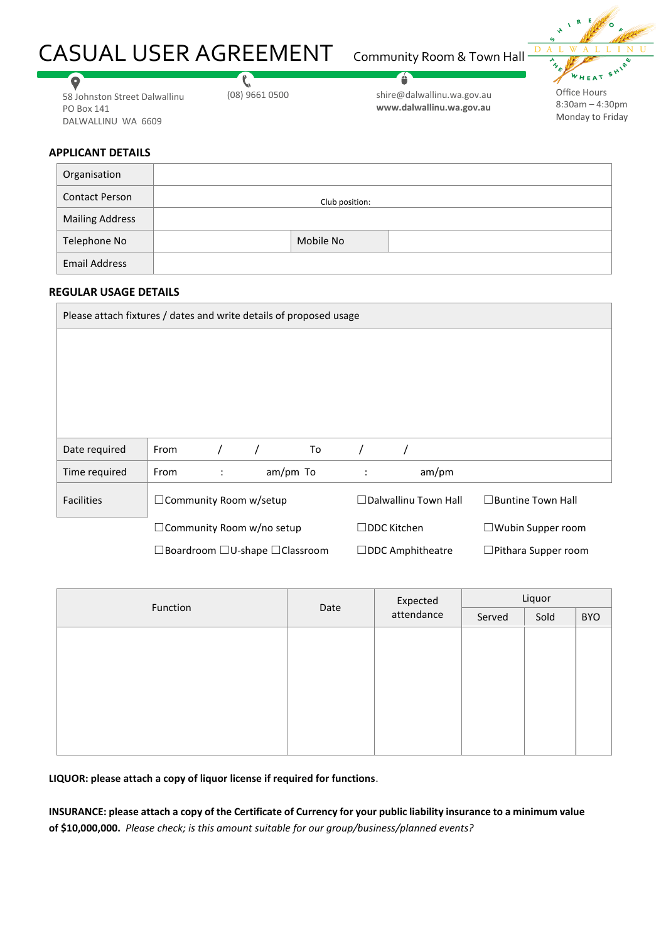# CASUAL USER AGREEMENT Community Room & Town Hall



58 Johnston Street Dalwallinu PO Box 141 DALWALLINU WA 6609

 $\mathbf{C}$ 

shire@dalwallinu.wa.gov.au (08) 9661 0500 Office Hours **www.dalwallinu.wa.gov.au**

é

8:30am – 4:30pm Monday to Friday

# **APPLICANT DETAILS**

 $\bullet$ 

| Organisation           |                |  |
|------------------------|----------------|--|
| <b>Contact Person</b>  | Club position: |  |
| <b>Mailing Address</b> |                |  |
| Telephone No           | Mobile No      |  |
| <b>Email Address</b>   |                |  |

### **REGULAR USAGE DETAILS**

| Please attach fixtures / dates and write details of proposed usage |                                  |   |  |                             |                    |                          |  |
|--------------------------------------------------------------------|----------------------------------|---|--|-----------------------------|--------------------|--------------------------|--|
|                                                                    |                                  |   |  |                             |                    |                          |  |
|                                                                    |                                  |   |  |                             |                    |                          |  |
|                                                                    |                                  |   |  |                             |                    |                          |  |
|                                                                    |                                  |   |  |                             |                    |                          |  |
| Date required                                                      | From                             |   |  | To                          |                    |                          |  |
| Time required                                                      | From                             | ÷ |  | am/pm To                    | $\ddot{\cdot}$     | am/pm                    |  |
| <b>Facilities</b>                                                  | □ Community Room w/setup         |   |  | $\Box$ Dalwallinu Town Hall |                    | $\Box$ Buntine Town Hall |  |
|                                                                    | $\Box$ Community Room w/no setup |   |  |                             | $\Box$ DDC Kitchen | $\Box$ Wubin Supper room |  |

☐Boardroom ☐U-shape ☐Classroom ☐DDC Amphitheatre ☐Pithara Supper room

|                  |  |                        | Liquor |                    |  |  |  |
|------------------|--|------------------------|--------|--------------------|--|--|--|
| Function<br>Date |  | Expected<br>attendance | Served | Sold<br><b>BYO</b> |  |  |  |
|                  |  |                        |        |                    |  |  |  |
|                  |  |                        |        |                    |  |  |  |
|                  |  |                        |        |                    |  |  |  |
|                  |  |                        |        |                    |  |  |  |
|                  |  |                        |        |                    |  |  |  |
|                  |  |                        |        |                    |  |  |  |
|                  |  |                        |        |                    |  |  |  |

**LIQUOR: please attach a copy of liquor license if required for functions**.

**INSURANCE: please attach a copy of the Certificate of Currency for your public liability insurance to a minimum value of \$10,000,000.** *Please check; is this amount suitable for our group/business/planned events?*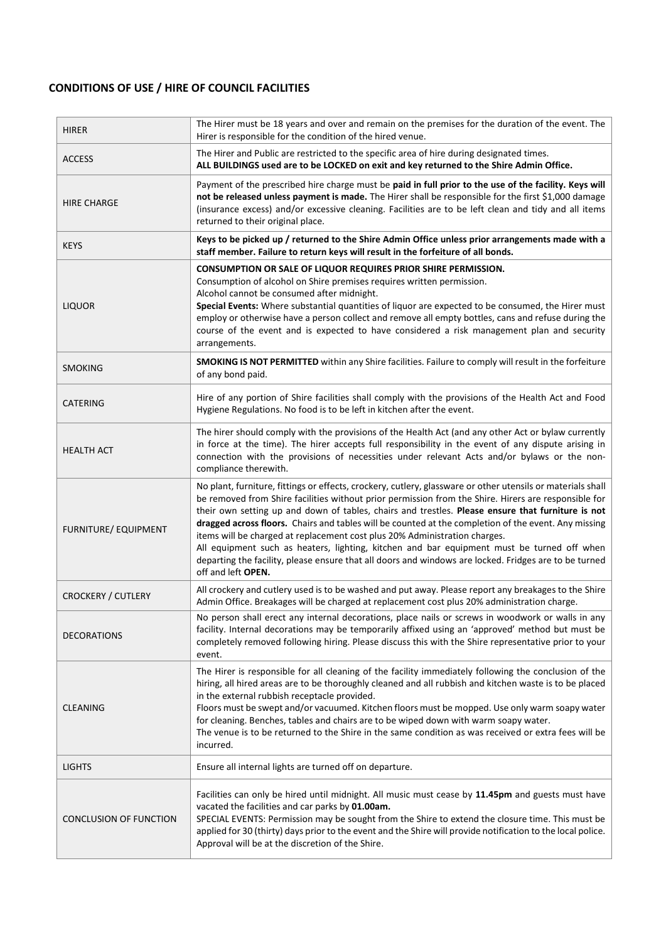# **CONDITIONS OF USE / HIRE OF COUNCIL FACILITIES**

| <b>HIRER</b>                  | The Hirer must be 18 years and over and remain on the premises for the duration of the event. The<br>Hirer is responsible for the condition of the hired venue.                                                                                                                                                                                                                                                                                                                                                                                                                                                                                                                                                                             |
|-------------------------------|---------------------------------------------------------------------------------------------------------------------------------------------------------------------------------------------------------------------------------------------------------------------------------------------------------------------------------------------------------------------------------------------------------------------------------------------------------------------------------------------------------------------------------------------------------------------------------------------------------------------------------------------------------------------------------------------------------------------------------------------|
| <b>ACCESS</b>                 | The Hirer and Public are restricted to the specific area of hire during designated times.<br>ALL BUILDINGS used are to be LOCKED on exit and key returned to the Shire Admin Office.                                                                                                                                                                                                                                                                                                                                                                                                                                                                                                                                                        |
| <b>HIRE CHARGE</b>            | Payment of the prescribed hire charge must be paid in full prior to the use of the facility. Keys will<br>not be released unless payment is made. The Hirer shall be responsible for the first \$1,000 damage<br>(insurance excess) and/or excessive cleaning. Facilities are to be left clean and tidy and all items<br>returned to their original place.                                                                                                                                                                                                                                                                                                                                                                                  |
| <b>KEYS</b>                   | Keys to be picked up / returned to the Shire Admin Office unless prior arrangements made with a<br>staff member. Failure to return keys will result in the forfeiture of all bonds.                                                                                                                                                                                                                                                                                                                                                                                                                                                                                                                                                         |
| <b>LIQUOR</b>                 | CONSUMPTION OR SALE OF LIQUOR REQUIRES PRIOR SHIRE PERMISSION.<br>Consumption of alcohol on Shire premises requires written permission.<br>Alcohol cannot be consumed after midnight.<br>Special Events: Where substantial quantities of liquor are expected to be consumed, the Hirer must<br>employ or otherwise have a person collect and remove all empty bottles, cans and refuse during the<br>course of the event and is expected to have considered a risk management plan and security<br>arrangements.                                                                                                                                                                                                                            |
| <b>SMOKING</b>                | <b>SMOKING IS NOT PERMITTED</b> within any Shire facilities. Failure to comply will result in the forfeiture<br>of any bond paid.                                                                                                                                                                                                                                                                                                                                                                                                                                                                                                                                                                                                           |
| CATERING                      | Hire of any portion of Shire facilities shall comply with the provisions of the Health Act and Food<br>Hygiene Regulations. No food is to be left in kitchen after the event.                                                                                                                                                                                                                                                                                                                                                                                                                                                                                                                                                               |
| <b>HEALTH ACT</b>             | The hirer should comply with the provisions of the Health Act (and any other Act or bylaw currently<br>in force at the time). The hirer accepts full responsibility in the event of any dispute arising in<br>connection with the provisions of necessities under relevant Acts and/or bylaws or the non-<br>compliance therewith.                                                                                                                                                                                                                                                                                                                                                                                                          |
| <b>FURNITURE/ EQUIPMENT</b>   | No plant, furniture, fittings or effects, crockery, cutlery, glassware or other utensils or materials shall<br>be removed from Shire facilities without prior permission from the Shire. Hirers are responsible for<br>their own setting up and down of tables, chairs and trestles. Please ensure that furniture is not<br>dragged across floors. Chairs and tables will be counted at the completion of the event. Any missing<br>items will be charged at replacement cost plus 20% Administration charges.<br>All equipment such as heaters, lighting, kitchen and bar equipment must be turned off when<br>departing the facility, please ensure that all doors and windows are locked. Fridges are to be turned<br>off and left OPEN. |
| <b>CROCKERY / CUTLERY</b>     | All crockery and cutlery used is to be washed and put away. Please report any breakages to the Shire<br>Admin Office. Breakages will be charged at replacement cost plus 20% administration charge.                                                                                                                                                                                                                                                                                                                                                                                                                                                                                                                                         |
| <b>DECORATIONS</b>            | No person shall erect any internal decorations, place nails or screws in woodwork or walls in any<br>facility. Internal decorations may be temporarily affixed using an 'approved' method but must be<br>completely removed following hiring. Please discuss this with the Shire representative prior to your<br>event.                                                                                                                                                                                                                                                                                                                                                                                                                     |
| <b>CLEANING</b>               | The Hirer is responsible for all cleaning of the facility immediately following the conclusion of the<br>hiring, all hired areas are to be thoroughly cleaned and all rubbish and kitchen waste is to be placed<br>in the external rubbish receptacle provided.<br>Floors must be swept and/or vacuumed. Kitchen floors must be mopped. Use only warm soapy water<br>for cleaning. Benches, tables and chairs are to be wiped down with warm soapy water.<br>The venue is to be returned to the Shire in the same condition as was received or extra fees will be<br>incurred.                                                                                                                                                              |
| <b>LIGHTS</b>                 | Ensure all internal lights are turned off on departure.                                                                                                                                                                                                                                                                                                                                                                                                                                                                                                                                                                                                                                                                                     |
| <b>CONCLUSION OF FUNCTION</b> | Facilities can only be hired until midnight. All music must cease by 11.45pm and guests must have<br>vacated the facilities and car parks by 01.00am.<br>SPECIAL EVENTS: Permission may be sought from the Shire to extend the closure time. This must be<br>applied for 30 (thirty) days prior to the event and the Shire will provide notification to the local police.<br>Approval will be at the discretion of the Shire.                                                                                                                                                                                                                                                                                                               |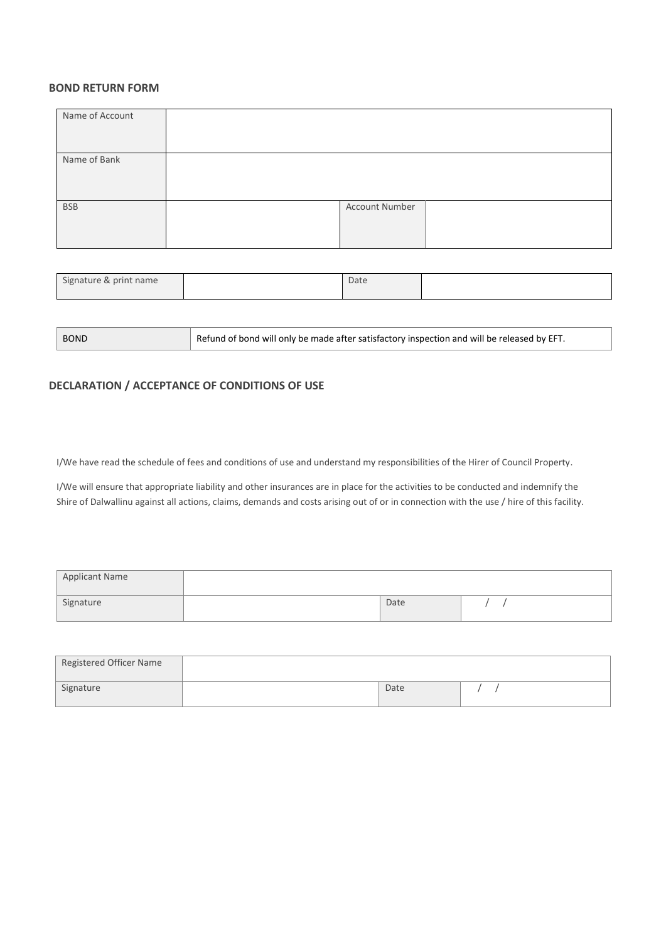#### **BOND RETURN FORM**

| Name of Account |                |  |
|-----------------|----------------|--|
|                 |                |  |
|                 |                |  |
|                 |                |  |
|                 |                |  |
|                 |                |  |
| Name of Bank    |                |  |
|                 |                |  |
|                 |                |  |
|                 |                |  |
|                 |                |  |
|                 |                |  |
| <b>BSB</b>      | Account Number |  |
|                 |                |  |
|                 |                |  |
|                 |                |  |
|                 |                |  |
|                 |                |  |

| Signature & print name | Date |  |
|------------------------|------|--|

| <b>BOND</b> | Refund of bond will only be made after satisfactory inspection and will be released by EFT. |
|-------------|---------------------------------------------------------------------------------------------|
|-------------|---------------------------------------------------------------------------------------------|

## **DECLARATION / ACCEPTANCE OF CONDITIONS OF USE**

I/We have read the schedule of fees and conditions of use and understand my responsibilities of the Hirer of Council Property.

I/We will ensure that appropriate liability and other insurances are in place for the activities to be conducted and indemnify the Shire of Dalwallinu against all actions, claims, demands and costs arising out of or in connection with the use / hire of this facility.

| <b>Applicant Name</b> |      |  |  |
|-----------------------|------|--|--|
| Signature             | Date |  |  |

| Registered Officer Name |      |  |
|-------------------------|------|--|
| Signature               | Date |  |